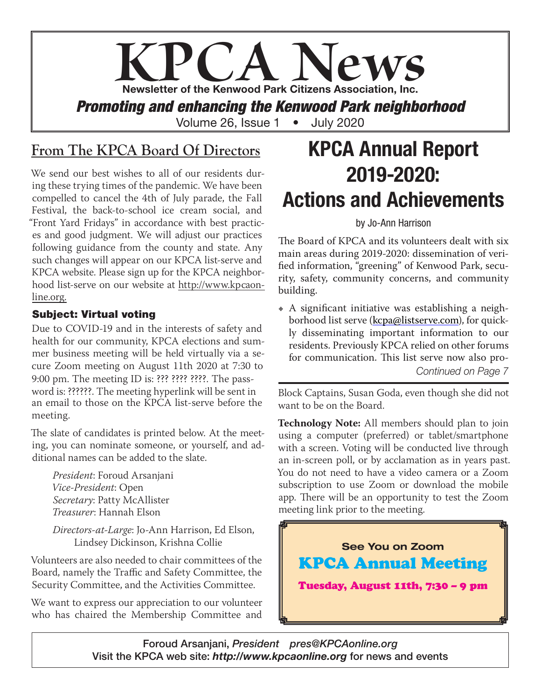# PCA News Newsletter of the Kenwood Park Citizens Association, Inc. *Promoting and enhancing the Kenwood Park neighborhood*

Volume 26, Issue 1 • July 2020

### **From The KPCA Board Of Directors**

We send our best wishes to all of our residents during these trying times of the pandemic. We have been compelled to cancel the 4th of July parade, the Fall Festival, the back-to-school ice cream social, and "Front Yard Fridays" in accordance with best practices and good judgment. We will adjust our practices following guidance from the county and state. Any such changes will appear on our KPCA list-serve and KPCA website. Please sign up for the KPCA neighborhood list-serve on our website at http://www.kpcaonline.org.

#### Subject: Virtual voting

Due to COVID-19 and in the interests of safety and health for our community, KPCA elections and summer business meeting will be held virtually via a secure Zoom meeting on August 11th 2020 at 7:30 to 9:00 pm. The meeting ID is: ??? ???? ????. The password is: ??????. The meeting hyperlink will be sent in an email to those on the KPCA list-serve before the meeting.

The slate of candidates is printed below. At the meeting, you can nominate someone, or yourself, and additional names can be added to the slate.

*President*: Foroud Arsanjani *Vice-President*: Open *Secretary*: Patty McAllister *Treasurer*: Hannah Elson

*Directors-at-Large*: Jo-Ann Harrison, Ed Elson, Lindsey Dickinson, Krishna Collie

Volunteers are also needed to chair committees of the Board, namely the Traffic and Safety Committee, the Security Committee, and the Activities Committee.

We want to express our appreciation to our volunteer who has chaired the Membership Committee and

## KPCA Annual Report 2019-2020: Actions and Achievements

#### by Jo-Ann Harrison

The Board of KPCA and its volunteers dealt with six main areas during 2019-2020: dissemination of verified information, "greening" of Kenwood Park, security, safety, community concerns, and community building.

• A significant initiative was establishing a neighborhood list serve (kcpa@listserve.com), for quickly disseminating important information to our residents. Previously KPCA relied on other forums for communication. This list serve now also pro-*Continued on Page* 7

Block Captains, Susan Goda, even though she did not want to be on the Board.

**Technology Note:** All members should plan to join using a computer (preferred) or tablet/smartphone with a screen. Voting will be conducted live through an in-screen poll, or by acclamation as in years past. You do not need to have a video camera or a Zoom subscription to use Zoom or download the mobile app. There will be an opportunity to test the Zoom meeting link prior to the meeting.



Foroud Arsanjani, *President pres@KPCAonline.org* Visit the KPCA web site: *http://www.kpcaonline.org* for news and events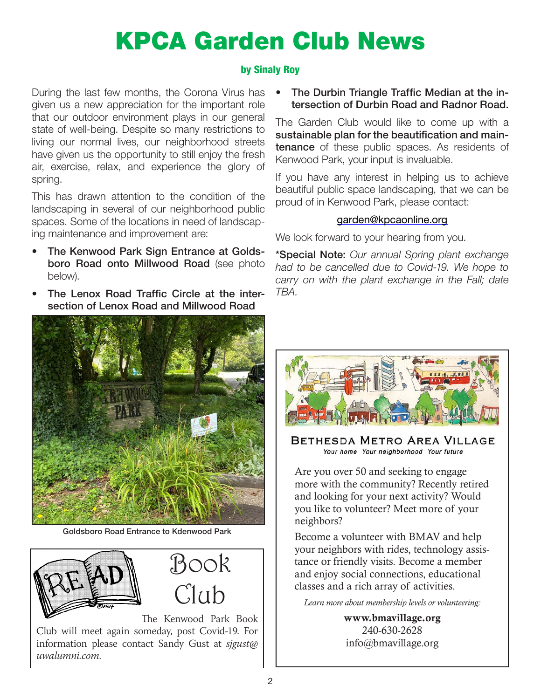# KPCA Garden Club News

#### by Sinaly Roy

During the last few months, the Corona Virus has given us a new appreciation for the important role that our outdoor environment plays in our general state of well-being. Despite so many restrictions to living our normal lives, our neighborhood streets have given us the opportunity to still enjoy the fresh air, exercise, relax, and experience the glory of spring.

This has drawn attention to the condition of the landscaping in several of our neighborhood public spaces. Some of the locations in need of landscaping maintenance and improvement are:

- The Kenwood Park Sign Entrance at Goldsboro Road onto Millwood Road (see photo below).
- The Lenox Road Traffic Circle at the intersection of Lenox Road and Millwood Road



Goldsboro Road Entrance to Kdenwood Park



The Kenwood Park Book Club will meet again someday, post Covid-19. For information please contact Sandy Gust at *sjgust@ uwalumni.com*.

• The Durbin Triangle Traffic Median at the intersection of Durbin Road and Radnor Road.

The Garden Club would like to come up with a sustainable plan for the beautification and maintenance of these public spaces. As residents of Kenwood Park, your input is invaluable.

If you have any interest in helping us to achieve beautiful public space landscaping, that we can be proud of in Kenwood Park, please contact:

#### garden@kpcaonline.org

We look forward to your hearing from you.

\*Special Note: *Our annual Spring plant exchange had to be cancelled due to Covid-19. We hope to carry on with the plant exchange in the Fall; date TBA.*



BETHESDA METRO AREA VILLAGE Your home Your neighborhood Your future

Are you over 50 and seeking to engage more with the community? Recently retired and looking for your next activity? Would you like to volunteer? Meet more of your neighbors?

Become a volunteer with BMAV and help your neighbors with rides, technology assistance or friendly visits. Become a member and enjoy social connections, educational classes and a rich array of activities.

*Learn more about membership levels or volunteering:*

www.bmavillage.org 240-630-2628 info@bmavillage.org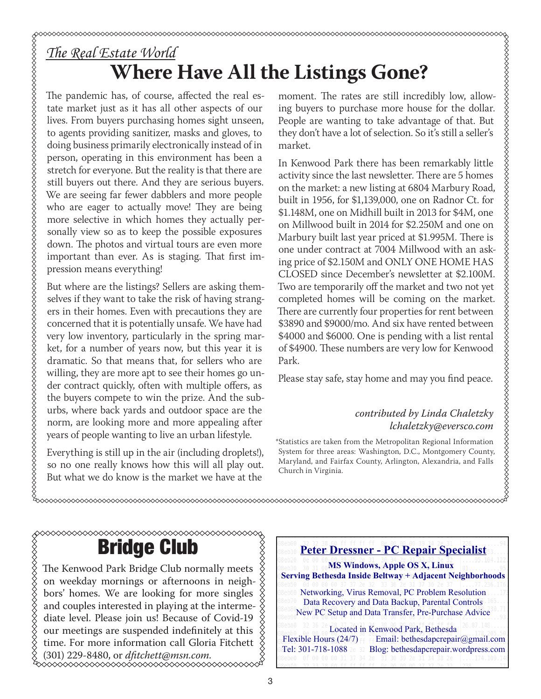### *The Real Estate World* **Where Have All the Listings Gone?**

The pandemic has, of course, affected the real estate market just as it has all other aspects of our lives. From buyers purchasing homes sight unseen, to agents providing sanitizer, masks and gloves, to doing business primarily electronically instead of in person, operating in this environment has been a stretch for everyone. But the reality is that there are still buyers out there. And they are serious buyers. We are seeing far fewer dabblers and more people who are eager to actually move! They are being more selective in which homes they actually personally view so as to keep the possible exposures down. The photos and virtual tours are even more important than ever. As is staging. That first impression means everything!

But where are the listings? Sellers are asking themselves if they want to take the risk of having strangers in their homes. Even with precautions they are concerned that it is potentially unsafe. We have had very low inventory, particularly in the spring market, for a number of years now, but this year it is dramatic. So that means that, for sellers who are willing, they are more apt to see their homes go under contract quickly, often with multiple offers, as the buyers compete to win the prize. And the suburbs, where back yards and outdoor space are the norm, are looking more and more appealing after years of people wanting to live an urban lifestyle.

Everything is still up in the air (including droplets!), so no one really knows how this will all play out. But what we do know is the market we have at the

moment. The rates are still incredibly low, allowing buyers to purchase more house for the dollar. People are wanting to take advantage of that. But they don't have a lot of selection. So it's still a seller's market.

In Kenwood Park there has been remarkably little activity since the last newsletter. There are 5 homes on the market: a new listing at 6804 Marbury Road, built in 1956, for \$1,139,000, one on Radnor Ct. for \$1.148M, one on Midhill built in 2013 for \$4M, one on Millwood built in 2014 for \$2.250M and one on Marbury built last year priced at \$1.995M. There is one under contract at 7004 Millwood with an asking price of \$2.150M and ONLY ONE HOME HAS CLOSED since December's newsletter at \$2.100M. Two are temporarily off the market and two not yet completed homes will be coming on the market. There are currently four properties for rent between \$3890 and \$9000/mo. And six have rented between \$4000 and \$6000. One is pending with a list rental of \$4900. These numbers are very low for Kenwood Park.

Please stay safe, stay home and may you find peace.

#### *contributed by Linda Chaletzky lchaletzky@eversco.com*

\*Statistics are taken from the Metropolitan Regional Information System for three areas: Washington, D.C., Montgomery County, Maryland, and Fairfax County, Arlington, Alexandria, and Falls Church in Virginia.

#### ◇◇◇◇◇◇◇◇◇◇◇◇◇◇◇◇◇ Bridge Club

The Kenwood Park Bridge Club normally meets on weekday mornings or afternoons in neighbors' homes. We are looking for more singles and couples interested in playing at the interme- $\frac{2}{3}$  $\frac{\infty}{\infty}$ diate level. Please join us! Because of Covid-19 our meetings are suspended indefinitely at this time. For more information call Gloria Fitchett (301) 229-8480, or *dfitchett@msn.com.*

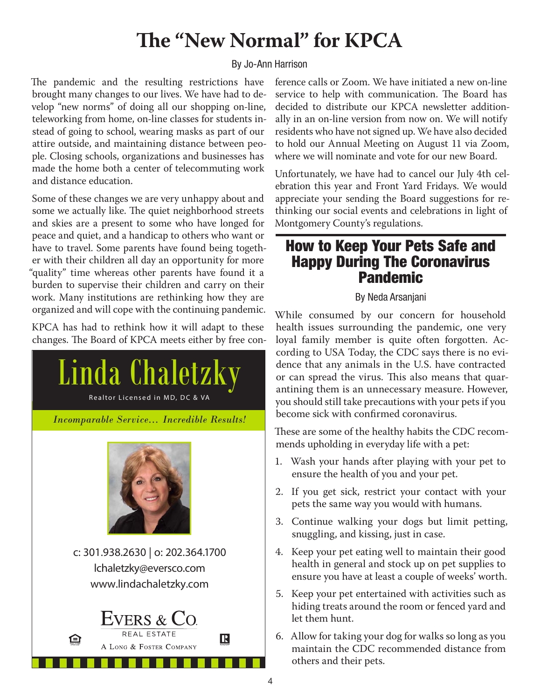### **The "New Normal" for KPCA**

#### By Jo-Ann Harrison

The pandemic and the resulting restrictions have brought many changes to our lives. We have had to develop "new norms" of doing all our shopping on-line, teleworking from home, on-line classes for students instead of going to school, wearing masks as part of our attire outside, and maintaining distance between people. Closing schools, organizations and businesses has made the home both a center of telecommuting work and distance education.

Some of these changes we are very unhappy about and some we actually like. The quiet neighborhood streets and skies are a present to some who have longed for peace and quiet, and a handicap to others who want or have to travel. Some parents have found being together with their children all day an opportunity for more "quality" time whereas other parents have found it a burden to supervise their children and carry on their work. Many institutions are rethinking how they are organized and will cope with the continuing pandemic.

KPCA has had to rethink how it will adapt to these changes. The Board of KPCA meets either by free con-



ference calls or Zoom. We have initiated a new on-line service to help with communication. The Board has decided to distribute our KPCA newsletter additionally in an on-line version from now on. We will notify residents who have not signed up. We have also decided to hold our Annual Meeting on August 11 via Zoom, where we will nominate and vote for our new Board.

Unfortunately, we have had to cancel our July 4th celebration this year and Front Yard Fridays. We would appreciate your sending the Board suggestions for rethinking our social events and celebrations in light of Montgomery County's regulations.

#### How to Keep Your Pets Safe and Happy During The Coronavirus **Pandemic**

#### By Neda Arsanjani

While consumed by our concern for household health issues surrounding the pandemic, one very loyal family member is quite often forgotten. According to USA Today, the CDC says there is no evidence that any animals in the U.S. have contracted or can spread the virus. This also means that quarantining them is an unnecessary measure. However, you should still take precautions with your pets if you become sick with confirmed coronavirus.

These are some of the healthy habits the CDC recommends upholding in everyday life with a pet:

- 1. Wash your hands after playing with your pet to ensure the health of you and your pet.
- 2. If you get sick, restrict your contact with your pets the same way you would with humans.
- 3. Continue walking your dogs but limit petting, snuggling, and kissing, just in case.
- 4. Keep your pet eating well to maintain their good health in general and stock up on pet supplies to ensure you have at least a couple of weeks' worth.
- 5. Keep your pet entertained with activities such as hiding treats around the room or fenced yard and let them hunt.
- 6. Allow for taking your dog for walks so long as you maintain the CDC recommended distance from others and their pets.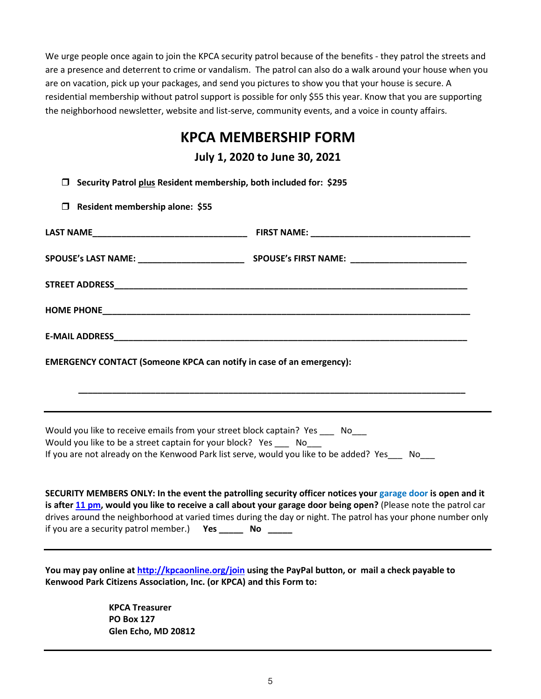We urge people once again to join the KPCA security patrol because of the benefits - they patrol the streets and are a presence and deterrent to crime or vandalism. The patrol can also do a walk around your house when you are on vacation, pick up your packages, and send you pictures to show you that your house is secure. A residential membership without patrol support is possible for only \$55 this year. Know that you are supporting the neighborhood newsletter, website and list-serve, community events, and a voice in county affairs.

#### **KPCA MEMBERSHIP FORM**

**July 1, 2020 to June 30, 2021** 

**Security Patrol plus Resident membership, both included for: \$295**

**Resident membership alone: \$55**

| <b>EMERGENCY CONTACT (Someone KPCA can notify in case of an emergency):</b>                                                                     |  |
|-------------------------------------------------------------------------------------------------------------------------------------------------|--|
|                                                                                                                                                 |  |
| and the control of the control of the control of the control of the control of the control of the control of the                                |  |
| Would you like to receive emails from your street block captain? Yes ____ No___<br>Would you like to be a street cantain for your block? Yes No |  |

Would you like to be a street captain for your block? Yes \_ If you are not already on the Kenwood Park list serve, would you like to be added? Yes \_\_\_ No\_\_\_

**SECURITY MEMBERS ONLY: In the event the patrolling security officer notices your garage door is open and it is after 11 pm, would you like to receive a call about your garage door being open?** (Please note the patrol car drives around the neighborhood at varied times during the day or night. The patrol has your phone number only if you are a security patrol member.) **Yes \_\_\_\_\_ No \_\_\_\_\_**

**You may pay online at http://kpcaonline.org/join using the PayPal button, or mail a check payable to Kenwood Park Citizens Association, Inc. (or KPCA) and this Form to:** 

> **KPCA Treasurer PO Box 127 Glen Echo, MD 20812**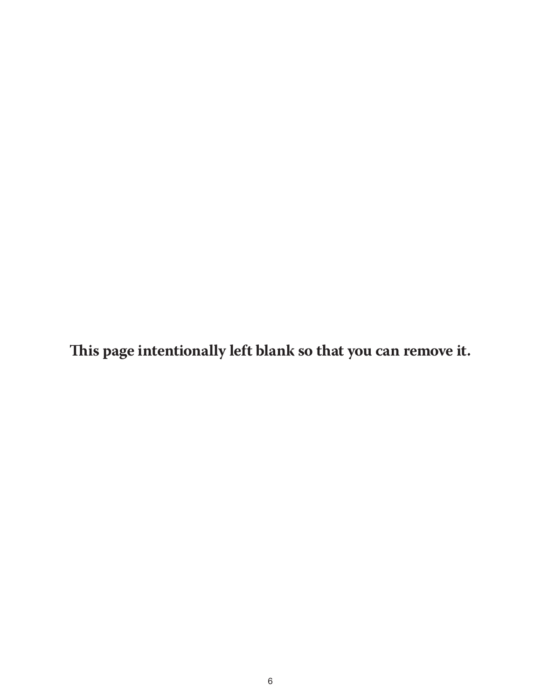**This page intentionally left blank so that you can remove it.**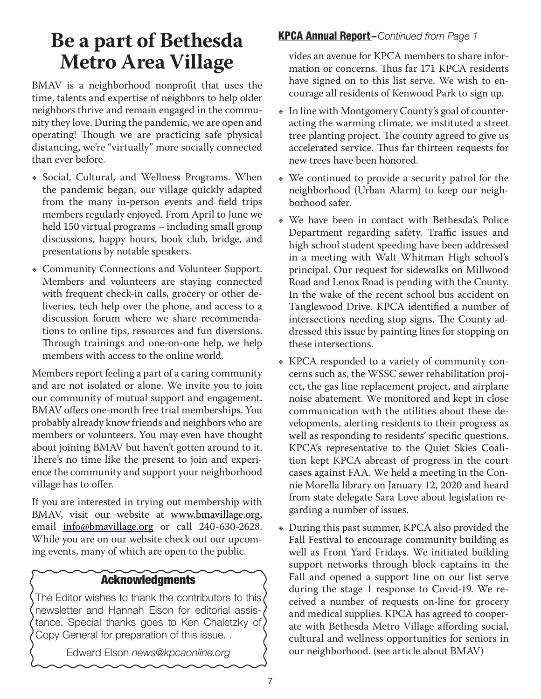### **Be a part of Bethesda Metro Area Village**

BMAV is a neighborhood nonprofit that uses the time, talents and expertise of neighbors to help older neighbors thrive and remain engaged in the community they love. During the pandemic, we are open and operating! Though we are practicing safe physical distancing, we're "virtually" more socially connected than ever before.

- **EXECT:** Social, Cultural, and Wellness Programs. When the pandemic began, our village quickly adapted from the many in-person events and field trips members regularly enjoyed. From April to June we held 150 virtual programs – including small group discussions, happy hours, book club, bridge, and presentations by notable speakers.
- Ε Community Connections and Volunteer Support. Members and volunteers are staying connected with frequent check-in calls, grocery or other deliveries, tech help over the phone, and access to a discussion forum where we share recommendations to online tips, resources and fun diversions. Through trainings and one-on-one help, we help members with access to the online world.

Members report feeling a part of a caring community and are not isolated or alone. We invite you to join our community of mutual support and engagement. BMAV offers one-month free trial memberships. You probably already know friends and neighbors who are members or volunteers. You may even have thought about joining BMAV but haven't gotten around to it. There's no time like the present to join and experience the community and support your neighborhood village has to offer.

If you are interested in trying out membership with BMAV, visit our website at www.bmavillage.org, email info@bmavillage.org or call 240-630-2628. While you are on our website check out our upcoming events, many of which are open to the public.

#### Acknowledgments

The Editor wishes to thank the contributors to this newsletter and Hannah Elson for editorial assistance. Special thanks goes to Ken Chaletzky of Copy General for preparation of this issue. .

Edward Elson *news@kpcaonline.org*

#### KPCA Annual Report –*Continued from Page 1*

vides an avenue for KPCA members to share information or concerns. Thus far 171 KPCA residents have signed on to this list serve. We wish to encourage all residents of Kenwood Park to sign up.

- In line with Montgomery County's goal of counteracting the warming climate, we instituted a street tree planting project. The county agreed to give us accelerated service. Thus far thirteen requests for new trees have been honored.
- We continued to provide a security patrol for the neighborhood (Urban Alarm) to keep our neighborhood safer.
- Ε We have been in contact with Bethesda's Police Department regarding safety. Traffic issues and high school student speeding have been addressed in a meeting with Walt Whitman High school's principal. Our request for sidewalks on Millwood Road and Lenox Road is pending with the County. In the wake of the recent school bus accident on Tanglewood Drive. KPCA identified a number of intersections needing stop signs. The County addressed this issue by painting lines for stopping on these intersections.
- KPCA responded to a variety of community concerns such as, the WSSC sewer rehabilitation project, the gas line replacement project, and airplane noise abatement. We monitored and kept in close communication with the utilities about these developments, alerting residents to their progress as well as responding to residents' specific questions. KPCA's representative to the Quiet Skies Coalition kept KPCA abreast of progress in the court cases against FAA. We held a meeting in the Connie Morella library on January 12, 2020 and heard from state delegate Sara Love about legislation regarding a number of issues.
- During this past summer, KPCA also provided the Fall Festival to encourage community building as well as Front Yard Fridays. We initiated building support networks through block captains in the Fall and opened a support line on our list serve during the stage 1 response to Covid-19. We received a number of requests on-line for grocery and medical supplies. KPCA has agreed to cooperate with Bethesda Metro Village affording social, cultural and wellness opportunities for seniors in our neighborhood. (see article about BMAV)